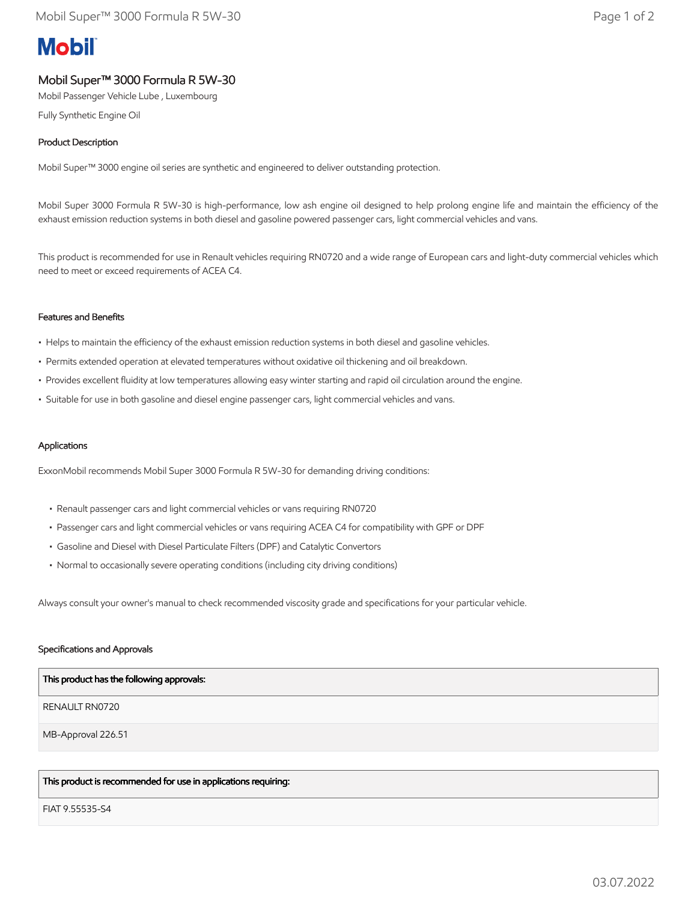# **Mobil**

# Mobil Super™ 3000 Formula R 5W-30

Mobil Passenger Vehicle Lube , Luxembourg

Fully Synthetic Engine Oil

## Product Description

Mobil Super™ 3000 engine oil series are synthetic and engineered to deliver outstanding protection.

Mobil Super 3000 Formula R 5W-30 is high-performance, low ash engine oil designed to help prolong engine life and maintain the efficiency of the exhaust emission reduction systems in both diesel and gasoline powered passenger cars, light commercial vehicles and vans.

This product is recommended for use in Renault vehicles requiring RN0720 and a wide range of European cars and light-duty commercial vehicles which need to meet or exceed requirements of ACEA C4.

#### Features and Benefits

- Helps to maintain the efficiency of the exhaust emission reduction systems in both diesel and gasoline vehicles.
- Permits extended operation at elevated temperatures without oxidative oil thickening and oil breakdown.
- Provides excellent fluidity at low temperatures allowing easy winter starting and rapid oil circulation around the engine.
- Suitable for use in both gasoline and diesel engine passenger cars, light commercial vehicles and vans.

#### Applications

ExxonMobil recommends Mobil Super 3000 Formula R 5W-30 for demanding driving conditions:

- Renault passenger cars and light commercial vehicles or vans requiring RN0720
- Passenger cars and light commercial vehicles or vans requiring ACEA C4 for compatibility with GPF or DPF
- Gasoline and Diesel with Diesel Particulate Filters (DPF) and Catalytic Convertors
- Normal to occasionally severe operating conditions (including city driving conditions)

Always consult your owner's manual to check recommended viscosity grade and specifications for your particular vehicle.

#### Specifications and Approvals

| This product has the following approvals: |
|-------------------------------------------|
| RENAULT RN0720                            |
| MB-Approval 226.51                        |
|                                           |

# This product is recommended for use in applications requiring:

FIAT 9.55535-S4